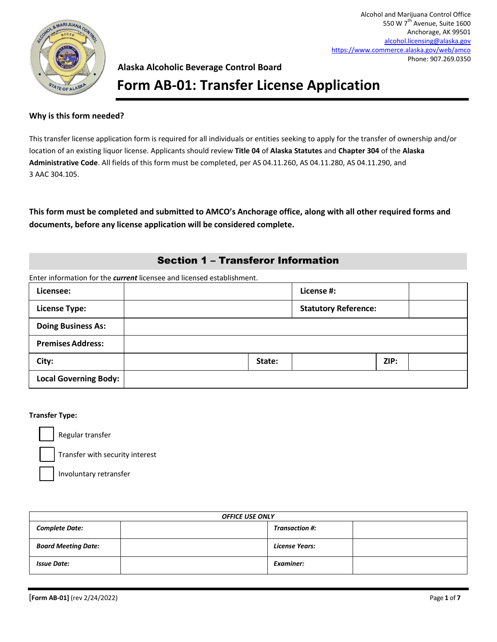

# **Form AB-01: Transfer License Application**

### **Why is this form needed?**

This transfer license application form is required for all individuals or entities seeking to apply for the transfer of ownership and/or location of an existing liquor license. Applicants should review **Title 04** of **Alaska Statutes** and **Chapter 304** of the **Alaska Administrative Code**. All fields of this form must be completed, per AS 04.11.260, AS 04.11.280, AS 04.11.290, and 3 AAC 304.105.

**This form must be completed and submitted to AMCO's Anchorage office, along with all other required forms and documents, before any license application will be considered complete.** 

## Section 1 – Transferor Information

Enter information for the *current* licensee and licensed establishment.

| Licensee:                    |        | License #:                  |  |
|------------------------------|--------|-----------------------------|--|
| <b>License Type:</b>         |        | <b>Statutory Reference:</b> |  |
| <b>Doing Business As:</b>    |        |                             |  |
| <b>Premises Address:</b>     |        |                             |  |
| City:                        | State: | ZIP:                        |  |
| <b>Local Governing Body:</b> |        |                             |  |

#### **Transfer Type:**

Regular transfer

Transfer with security interest

Involuntary retransfer

| <b>OFFICE USE ONLY</b>     |  |                |  |
|----------------------------|--|----------------|--|
| <b>Complete Date:</b>      |  | Transaction #: |  |
| <b>Board Meeting Date:</b> |  | License Years: |  |
| <b>Issue Date:</b>         |  | Examiner:      |  |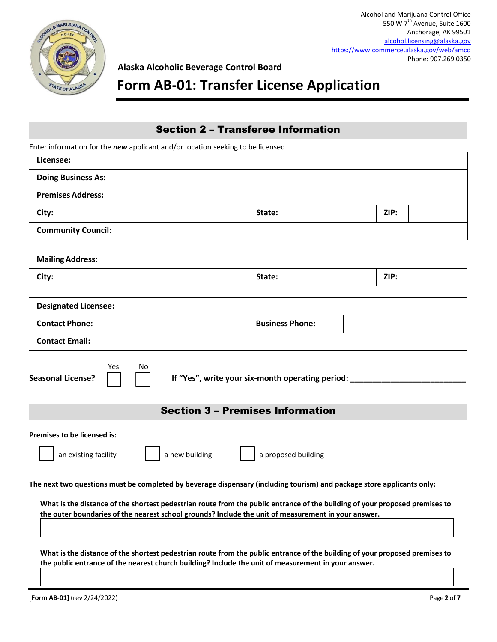

# **Form AB-01: Transfer License Application**

## Section 2 – Transferee Information

Enter information for the *new* applicant and/or location seeking to be licensed.

| Licensee:                 |        |      |
|---------------------------|--------|------|
| <b>Doing Business As:</b> |        |      |
| <b>Premises Address:</b>  |        |      |
| City:                     | State: | ZIP: |
| <b>Community Council:</b> |        |      |

| <b>Mailing Address:</b> |        |      |  |
|-------------------------|--------|------|--|
| City:                   | State: | ZIP: |  |

| <b>Designated Licensee:</b> |                        |  |
|-----------------------------|------------------------|--|
| <b>Contact Phone:</b>       | <b>Business Phone:</b> |  |
| <b>Contact Email:</b>       |                        |  |

|                          | Yes | Nο |                                                  |
|--------------------------|-----|----|--------------------------------------------------|
| <b>Seasonal License?</b> |     |    | If "Yes", write your six-month operating period: |

## Section 3 – Premises Information

**Premises to be licensed is:** 

an existing facility  $\begin{vmatrix} 1 & 1 \\ 1 & 2 \end{vmatrix}$  a new building  $\begin{vmatrix} 1 & 2 \\ 2 & 3 \end{vmatrix}$  a proposed building

The next two questions must be completed by **beverage dispensary (including tourism)** and **package store** applicants only:

**What is the distance of the shortest pedestrian route from the public entrance of the building of your proposed premises to the outer boundaries of the nearest school grounds? Include the unit of measurement in your answer.** 

**What is the distance of the shortest pedestrian route from the public entrance of the building of your proposed premises to the public entrance of the nearest church building? Include the unit of measurement in your answer.**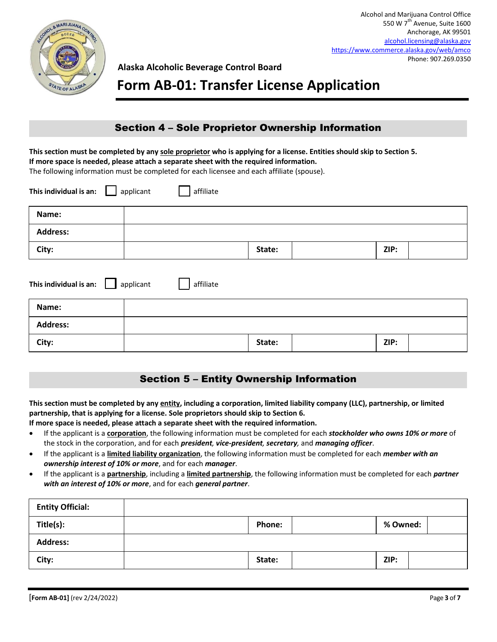

# **Form AB-01: Transfer License Application**

## Section 4 – Sole Proprietor Ownership Information

**This section must be completed by any sole proprietor who is applying for a license. Entities should skip to Section 5. If more space is needed, please attach a separate sheet with the required information.**  The following information must be completed for each licensee and each affiliate (spouse).

| This individual is an: | applicant<br>affiliate |        |      |  |
|------------------------|------------------------|--------|------|--|
| Name:                  |                        |        |      |  |
| <b>Address:</b>        |                        |        |      |  |
| City:                  |                        | State: | ZIP: |  |
| This individual is an: | applicant<br>affiliate |        |      |  |
| Name:                  |                        |        |      |  |
| <b>Address:</b>        |                        |        |      |  |
| City:                  |                        | State: | ZIP: |  |

## Section 5 – Entity Ownership Information

**This section must be completed by any entity, including a corporation, limited liability company (LLC), partnership, or limited partnership, that is applying for a license. Sole proprietors should skip to Section 6.** 

**If more space is needed, please attach a separate sheet with the required information.** 

- If the applicant is a **corporation**, the following information must be completed for each *stockholder who owns 10% or more* of the stock in the corporation, and for each *president, vice-president, secretary,* and *managing officer*.
- If the applicant is a **limited liability organization**, the following information must be completed for each *member with an ownership interest of 10% or more*, and for each *manager*.
- If the applicant is a **partnership**, including a **limited partnership**, the following information must be completed for each *partner with an interest of 10% or more*, and for each *general partner*.

| <b>Entity Official:</b> |               |          |  |
|-------------------------|---------------|----------|--|
| Title(s):               | <b>Phone:</b> | % Owned: |  |
| <b>Address:</b>         |               |          |  |
| City:                   | State:        | ZIP:     |  |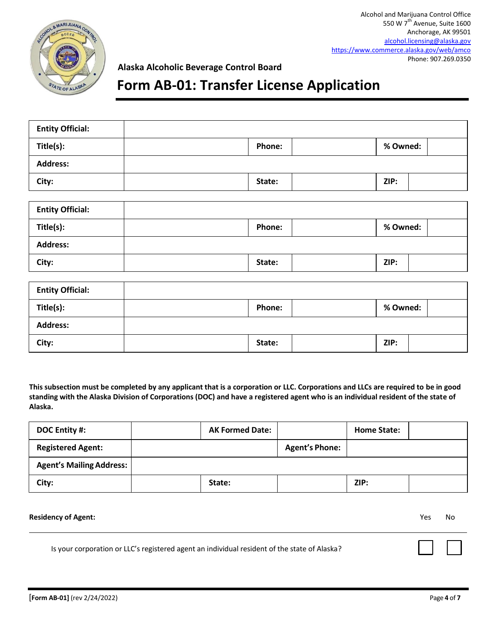

# **Form AB-01: Transfer License Application**

| <b>Entity Official:</b> |        |          |
|-------------------------|--------|----------|
| Title(s):               | Phone: | % Owned: |
| <b>Address:</b>         |        |          |
| City:                   | State: | ZIP:     |
|                         |        |          |
| <b>Entity Official:</b> |        |          |
| Title(s):               | Phone: | % Owned: |
| <b>Address:</b>         |        |          |
| City:                   | State: | ZIP:     |
|                         |        |          |
| <b>Entity Official:</b> |        |          |
| Title(s):               | Phone: | % Owned: |
| <b>Address:</b>         |        |          |
| City:                   | State: | ZIP:     |

**This subsection must be completed by any applicant that is a corporation or LLC. Corporations and LLCs are required to be in good standing with the Alaska Division of Corporations (DOC) and have a registered agent who is an individual resident of the state of Alaska.** 

| DOC Entity #:                   | <b>AK Formed Date:</b> |                       | <b>Home State:</b> |  |
|---------------------------------|------------------------|-----------------------|--------------------|--|
| <b>Registered Agent:</b>        |                        | <b>Agent's Phone:</b> |                    |  |
| <b>Agent's Mailing Address:</b> |                        |                       |                    |  |
| City:                           | State:                 |                       | ZIP:               |  |

#### **Residency of Agent:** Yes No. 2008, No. 2009, No. 2009, No. 2009, No. 2009, No. 2009, No. 2009, No. 2009, No. 2009, No. 2009, No. 2009, No. 2009, No. 2009, No. 2009, No. 2009, No. 2009, No. 2009, No. 2009, No. 2009, No. 20

Is your corporation or LLC's registered agent an individual resident of the state of Alaska?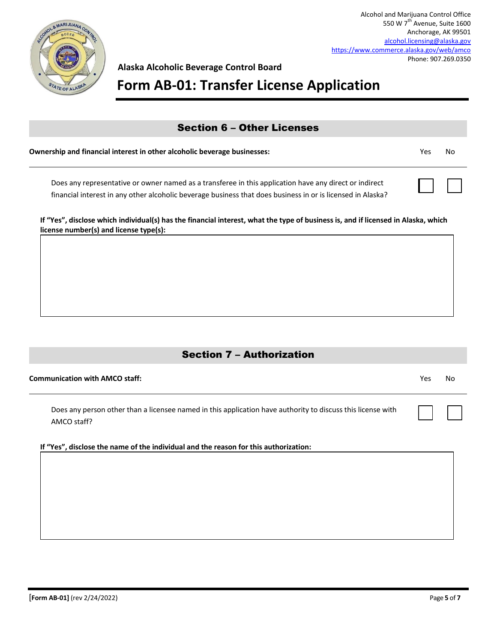

 $\Box$ 

### **Alaska Alcoholic Beverage Control Board**

# **Form AB-01: Transfer License Application**

| <b>Section 6 - Other Licenses</b> |  |  |
|-----------------------------------|--|--|
|-----------------------------------|--|--|

**Ownership and financial interest in other alcoholic beverage businesses:** The Monoton Channel Muslim Channel Muslim No

Does any representative or owner named as a transferee in this application have any direct or indirect financial interest in any other alcoholic beverage business that does business in or is licensed in Alaska?

**If "Yes", disclose which individual(s) has the financial interest, what the type of business is, and if licensed in Alaska, which license number(s) and license type(s):** 

## Section 7 – Authorization

#### **Communication with AMCO staff:** Yes No

Does any person other than a licensee named in this application have authority to discuss this license with AMCO staff?

**If "Yes", disclose the name of the individual and the reason for this authorization:**

☐ ☐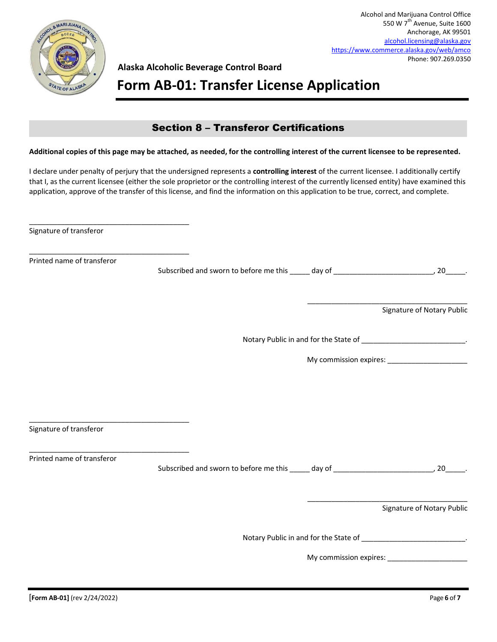

# **Form AB-01: Transfer License Application**

## Section 8 – Transferor Certifications

#### **Additional copies of this page may be attached, as needed, for the controlling interest of the current licensee to be represented.**

I declare under penalty of perjury that the undersigned represents a **controlling interest** of the current licensee. I additionally certify that I, as the current licensee (either the sole proprietor or the controlling interest of the currently licensed entity) have examined this application, approve of the transfer of this license, and find the information on this application to be true, correct, and complete.

Signature of transferor

\_\_\_\_\_\_\_\_\_\_\_\_\_\_\_\_\_\_\_\_\_\_\_\_\_\_\_\_\_\_\_\_\_\_\_\_\_\_\_\_

\_\_\_\_\_\_\_\_\_\_\_\_\_\_\_\_\_\_\_\_\_\_\_\_\_\_\_\_\_\_\_\_\_\_\_\_\_\_\_\_

\_\_\_\_\_\_\_\_\_\_\_\_\_\_\_\_\_\_\_\_\_\_\_\_\_\_\_\_\_\_\_\_\_\_\_\_\_\_\_\_

\_\_\_\_\_\_\_\_\_\_\_\_\_\_\_\_\_\_\_\_\_\_\_\_\_\_\_\_\_\_\_\_\_\_\_\_\_\_\_\_

Printed name of transferor

Subscribed and sworn to before me this \_\_\_\_\_ day of \_\_\_\_\_\_\_\_\_\_\_\_\_\_\_\_\_\_\_\_\_\_\_\_\_\_\_, 20\_\_\_\_\_.

\_\_\_\_\_\_\_\_\_\_\_\_\_\_\_\_\_\_\_\_\_\_\_\_\_\_\_\_\_\_\_\_\_\_\_\_\_\_\_\_ Signature of Notary Public

Notary Public in and for the State of  $\blacksquare$ 

My commission expires: \_\_\_\_\_\_\_\_\_\_\_\_\_\_\_\_\_\_\_\_

Signature of transferor

Printed name of transferor

Subscribed and sworn to before me this \_\_\_\_\_ day of \_\_\_\_\_\_\_\_\_\_\_\_\_\_\_\_\_\_\_\_\_\_\_\_\_\_\_, 20\_\_\_\_\_\_.

Signature of Notary Public

Notary Public in and for the State of \_\_\_\_\_\_\_\_\_\_\_\_\_\_\_\_\_\_\_\_\_\_\_\_\_\_\_\_\_.

My commission expires: \_\_\_\_\_\_\_\_\_\_\_\_\_\_\_\_\_\_\_\_

\_\_\_\_\_\_\_\_\_\_\_\_\_\_\_\_\_\_\_\_\_\_\_\_\_\_\_\_\_\_\_\_\_\_\_\_\_\_\_\_